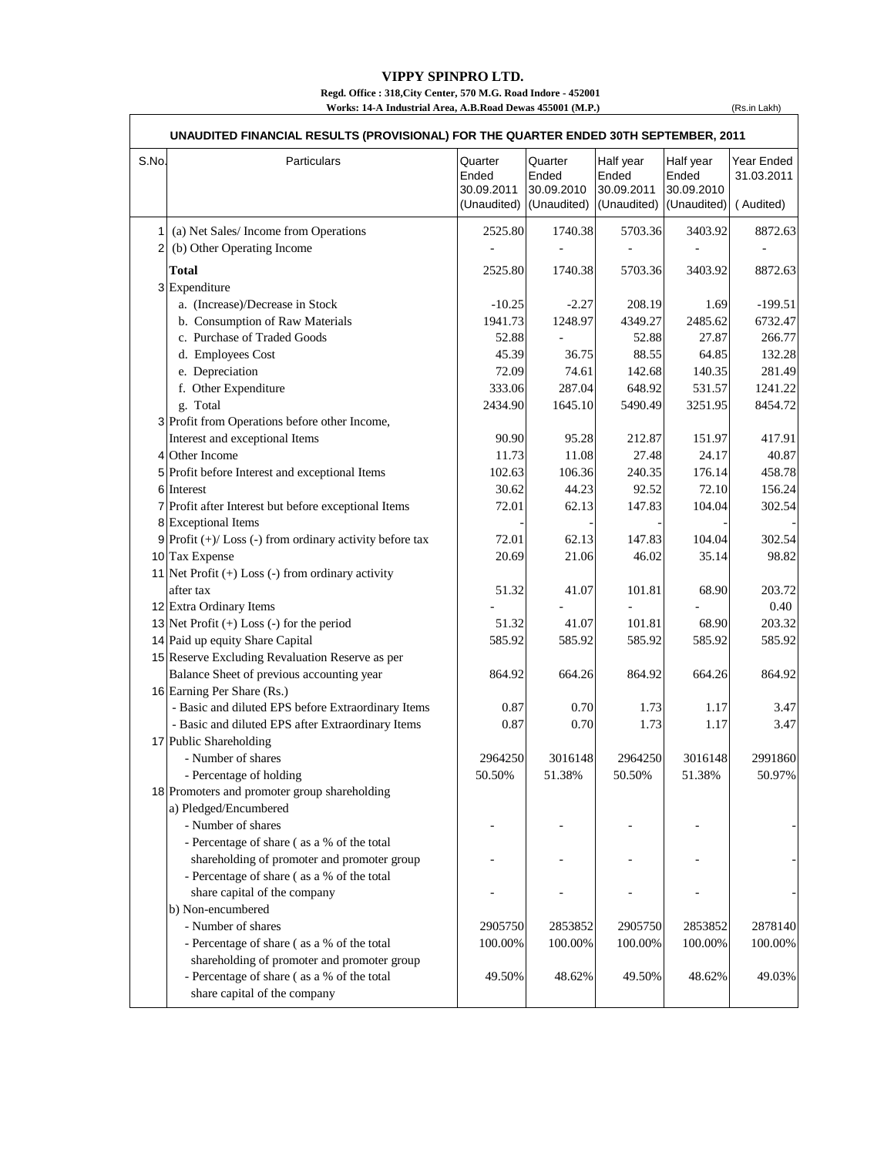## **VIPPY SPINPRO LTD.**

**Regd. Office : 318,City Center, 570 M.G. Road Indore - 452001 Works: 14-A Industrial Area, A.B.Road Dewas 455001 (M.P.)**

(Rs.in Lakh)

| S.No. | Particulars                                                | Quarter<br>Ended<br>30.09.2011 | Quarter<br>Ended<br>30.09.2010<br>(Unaudited) (Unaudited) | Half year<br>Ended<br>30.09.2011<br>(Unaudited) | Half year<br>Ended<br>30.09.2010<br>(Unaudited) | Year Ended<br>31.03.2011<br>(Audited) |
|-------|------------------------------------------------------------|--------------------------------|-----------------------------------------------------------|-------------------------------------------------|-------------------------------------------------|---------------------------------------|
| 1     | (a) Net Sales/Income from Operations                       | 2525.80                        | 1740.38                                                   | 5703.36                                         | 3403.92                                         | 8872.63                               |
| 2     | (b) Other Operating Income                                 |                                |                                                           |                                                 |                                                 |                                       |
|       |                                                            |                                |                                                           |                                                 |                                                 |                                       |
|       | <b>Total</b>                                               | 2525.80                        | 1740.38                                                   | 5703.36                                         | 3403.92                                         | 8872.63                               |
|       | 3 Expenditure                                              |                                |                                                           |                                                 |                                                 | $-199.51$                             |
|       | a. (Increase)/Decrease in Stock                            | $-10.25$                       | $-2.27$<br>1248.97                                        | 208.19                                          | 1.69                                            |                                       |
|       | b. Consumption of Raw Materials                            | 1941.73<br>52.88               |                                                           | 4349.27<br>52.88                                | 2485.62                                         | 6732.47                               |
|       | c. Purchase of Traded Goods                                |                                |                                                           |                                                 | 27.87                                           | 266.77                                |
|       | d. Employees Cost                                          | 45.39                          | 36.75                                                     | 88.55                                           | 64.85                                           | 132.28                                |
|       | e. Depreciation                                            | 72.09                          | 74.61                                                     | 142.68                                          | 140.35                                          | 281.49                                |
|       | f. Other Expenditure                                       | 333.06                         | 287.04                                                    | 648.92                                          | 531.57                                          | 1241.22                               |
|       | g. Total                                                   | 2434.90                        | 1645.10                                                   | 5490.49                                         | 3251.95                                         | 8454.72                               |
|       | 3 Profit from Operations before other Income,              | 90.90                          |                                                           |                                                 |                                                 | 417.91                                |
|       | Interest and exceptional Items                             |                                | 95.28                                                     | 212.87                                          | 151.97                                          |                                       |
|       | 4 Other Income                                             | 11.73                          | 11.08                                                     | 27.48                                           | 24.17                                           | 40.87                                 |
|       | 5 Profit before Interest and exceptional Items             | 102.63                         | 106.36                                                    | 240.35                                          | 176.14                                          | 458.78                                |
|       | 6 Interest                                                 | 30.62                          | 44.23                                                     | 92.52                                           | 72.10                                           | 156.24                                |
|       | 7 Profit after Interest but before exceptional Items       | 72.01                          | 62.13                                                     | 147.83                                          | 104.04                                          | 302.54                                |
|       | 8 Exceptional Items                                        |                                |                                                           |                                                 |                                                 |                                       |
|       | $9$ Profit (+)/ Loss (-) from ordinary activity before tax | 72.01                          | 62.13                                                     | 147.83                                          | 104.04                                          | 302.54                                |
|       | 10 Tax Expense                                             | 20.69                          | 21.06                                                     | 46.02                                           | 35.14                                           | 98.82                                 |
|       | 11 Net Profit $(+)$ Loss $(-)$ from ordinary activity      |                                |                                                           |                                                 |                                                 |                                       |
|       | after tax                                                  | 51.32                          | 41.07                                                     | 101.81                                          | 68.90                                           | 203.72                                |
|       | 12 Extra Ordinary Items                                    |                                |                                                           |                                                 |                                                 | 0.40                                  |
|       | 13 Net Profit $(+)$ Loss $(-)$ for the period              | 51.32                          | 41.07                                                     | 101.81                                          | 68.90                                           | 203.32                                |
|       | 14 Paid up equity Share Capital                            | 585.92                         | 585.92                                                    | 585.92                                          | 585.92                                          | 585.92                                |
|       | 15 Reserve Excluding Revaluation Reserve as per            |                                |                                                           |                                                 |                                                 |                                       |
|       | Balance Sheet of previous accounting year                  | 864.92                         | 664.26                                                    | 864.92                                          | 664.26                                          | 864.92                                |
|       | 16 Earning Per Share (Rs.)                                 |                                |                                                           |                                                 |                                                 |                                       |
|       | - Basic and diluted EPS before Extraordinary Items         | 0.87                           | 0.70                                                      | 1.73                                            | 1.17                                            | 3.47                                  |
|       | - Basic and diluted EPS after Extraordinary Items          | 0.87                           | 0.70                                                      | 1.73                                            | 1.17                                            | 3.47                                  |
|       | 17 Public Shareholding                                     |                                |                                                           |                                                 |                                                 |                                       |
|       | - Number of shares                                         | 2964250                        | 3016148                                                   | 2964250                                         | 3016148                                         | 2991860                               |
|       | - Percentage of holding                                    | 50.50%                         | 51.38%                                                    | 50.50%                                          | 51.38%                                          | 50.97%                                |
|       | 18 Promoters and promoter group shareholding               |                                |                                                           |                                                 |                                                 |                                       |
|       | a) Pledged/Encumbered                                      |                                |                                                           |                                                 |                                                 |                                       |
|       | - Number of shares                                         |                                |                                                           |                                                 |                                                 |                                       |
|       | - Percentage of share (as a % of the total                 |                                |                                                           |                                                 |                                                 |                                       |
|       | shareholding of promoter and promoter group                |                                |                                                           |                                                 |                                                 |                                       |
|       | - Percentage of share (as a % of the total                 |                                |                                                           |                                                 |                                                 |                                       |
|       | share capital of the company                               |                                |                                                           |                                                 |                                                 |                                       |
|       | b) Non-encumbered                                          |                                |                                                           |                                                 |                                                 |                                       |
|       | - Number of shares                                         | 2905750                        | 2853852                                                   | 2905750                                         | 2853852                                         | 2878140                               |
|       | - Percentage of share (as a % of the total                 | 100.00%                        | 100.00%                                                   | 100.00%                                         | 100.00%                                         | 100.00%                               |
|       | shareholding of promoter and promoter group                |                                |                                                           |                                                 |                                                 |                                       |
|       | - Percentage of share (as a % of the total                 | 49.50%                         | 48.62%                                                    | 49.50%                                          | 48.62%                                          | 49.03%                                |
|       | share capital of the company                               |                                |                                                           |                                                 |                                                 |                                       |